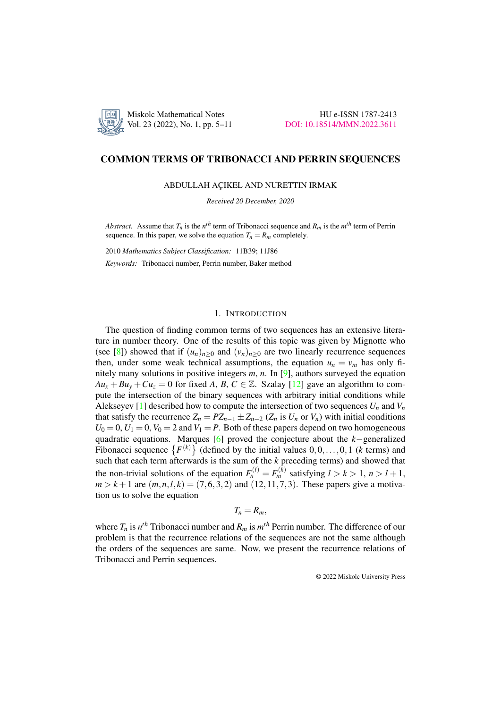

## COMMON TERMS OF TRIBONACCI AND PERRIN SEQUENCES

ABDULLAH ACIKEL AND NURETTIN IRMAK

*Received 20 December, 2020*

*Abstract.* Assume that  $T_n$  is the  $n^{th}$  term of Tribonacci sequence and  $R_m$  is the  $m^{th}$  term of Perrin sequence. In this paper, we solve the equation  $T_n = R_m$  completely.

2010 *Mathematics Subject Classification:* 11B39; 11J86

*Keywords:* Tribonacci number, Perrin number, Baker method

## 1. INTRODUCTION

The question of finding common terms of two sequences has an extensive literature in number theory. One of the results of this topic was given by Mignotte who (see [\[8\]](#page-5-0)) showed that if  $(u_n)_{n>0}$  and  $(v_n)_{n>0}$  are two linearly recurrence sequences then, under some weak technical assumptions, the equation  $u_n = v_m$  has only finitely many solutions in positive integers *m*, *n*. In [\[9\]](#page-5-1), authors surveyed the equation  $Au_x + Bu_y + Cu_z = 0$  for fixed *A*, *B*, *C* ∈ Z. Szalay [\[12\]](#page-6-0) gave an algorithm to compute the intersection of the binary sequences with arbitrary initial conditions while Alekseyev [\[1\]](#page-5-2) described how to compute the intersection of two sequences  $U_n$  and  $V_n$ that satisfy the recurrence  $Z_n = PZ_{n-1} \pm Z_{n-2}$  ( $Z_n$  is  $U_n$  or  $V_n$ ) with initial conditions  $U_0 = 0$ ,  $U_1 = 0$ ,  $V_0 = 2$  and  $V_1 = P$ . Both of these papers depend on two homogeneous quadratic equations. Marques [\[6\]](#page-5-3) proved the conjecture about the *k*−generalized Fibonacci sequence  $\{F^{(k)}\}$  (defined by the initial values  $0,0,\ldots,0,1$  (*k* terms) and such that each term afterwards is the sum of the *k* preceding terms) and showed that the non-trivial solutions of the equation  $F_n^{(l)} = F_m^{(k)}$  satisfying  $l > k > 1$ ,  $n > l + 1$ ,  $m > k + 1$  are  $(m, n, l, k) = (7, 6, 3, 2)$  and  $(12, 11, 7, 3)$ . These papers give a motivation us to solve the equation

$$
T_n=R_m,
$$

where  $T_n$  is  $n^{th}$  Tribonacci number and  $R_m$  is  $m^{th}$  Perrin number. The difference of our problem is that the recurrence relations of the sequences are not the same although the orders of the sequences are same. Now, we present the recurrence relations of Tribonacci and Perrin sequences.

© 2022 Miskolc University Press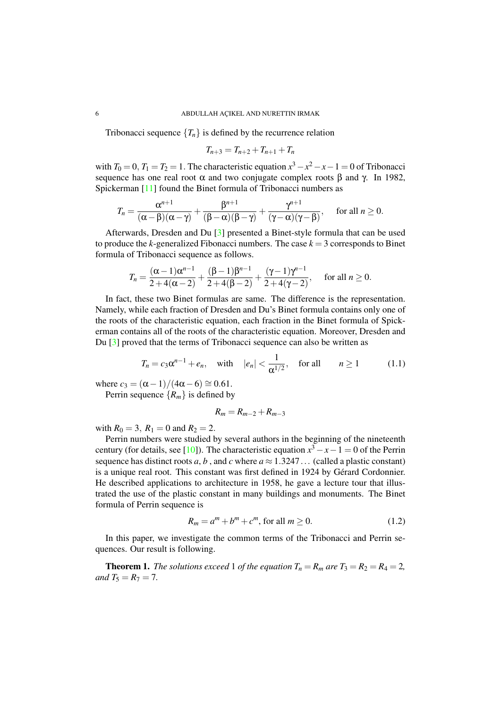Tribonacci sequence  ${T_n}$  is defined by the recurrence relation

$$
T_{n+3} = T_{n+2} + T_{n+1} + T_n
$$

with  $T_0 = 0$ ,  $T_1 = T_2 = 1$ . The characteristic equation  $x^3 - x^2 - x - 1 = 0$  of Tribonacci sequence has one real root  $\alpha$  and two conjugate complex roots  $\beta$  and  $\gamma$ . In 1982, Spickerman [\[11\]](#page-6-1) found the Binet formula of Tribonacci numbers as

$$
T_n=\frac{\alpha^{n+1}}{(\alpha-\beta)(\alpha-\gamma)}+\frac{\beta^{n+1}}{(\beta-\alpha)(\beta-\gamma)}+\frac{\gamma^{n+1}}{(\gamma-\alpha)(\gamma-\beta)},\quad \text{ for all }n\geq 0.
$$

Afterwards, Dresden and Du [\[3\]](#page-5-4) presented a Binet-style formula that can be used to produce the *k*-generalized Fibonacci numbers. The case  $k = 3$  corresponds to Binet formula of Tribonacci sequence as follows.

$$
T_n = \frac{(\alpha - 1)\alpha^{n-1}}{2 + 4(\alpha - 2)} + \frac{(\beta - 1)\beta^{n-1}}{2 + 4(\beta - 2)} + \frac{(\gamma - 1)\gamma^{n-1}}{2 + 4(\gamma - 2)}, \quad \text{for all } n \ge 0.
$$

In fact, these two Binet formulas are same. The difference is the representation. Namely, while each fraction of Dresden and Du's Binet formula contains only one of the roots of the characteristic equation, each fraction in the Binet formula of Spickerman contains all of the roots of the characteristic equation. Moreover, Dresden and Du [\[3\]](#page-5-4) proved that the terms of Tribonacci sequence can also be written as

<span id="page-1-1"></span>
$$
T_n = c_3 \alpha^{n-1} + e_n, \quad \text{with} \quad |e_n| < \frac{1}{\alpha^{1/2}}, \quad \text{for all} \quad n \ge 1 \tag{1.1}
$$

where  $c_3 = (\alpha - 1)/(4\alpha - 6) \approx 0.61$ . Perrin sequence  $\{R_m\}$  is defined by

$$
R_m=R_{m-2}+R_{m-3}
$$

with  $R_0 = 3$ ,  $R_1 = 0$  and  $R_2 = 2$ .

Perrin numbers were studied by several authors in the beginning of the nineteenth century (for details, see [\[10\]](#page-5-5)). The characteristic equation  $x^3 - x - 1 = 0$  of the Perrin sequence has distinct roots  $a, b$ , and  $c$  where  $a \approx 1.3247...$  (called a plastic constant) is a unique real root. This constant was first defined in 1924 by Gérard Cordonnier. He described applications to architecture in 1958, he gave a lecture tour that illustrated the use of the plastic constant in many buildings and monuments. The Binet formula of Perrin sequence is

$$
R_m = a^m + b^m + c^m, \text{ for all } m \ge 0.
$$
 (1.2)

In this paper, we investigate the common terms of the Tribonacci and Perrin sequences. Our result is following.

<span id="page-1-0"></span>**Theorem 1.** *The solutions exceed* 1 *of the equation*  $T_n = R_m$  *are*  $T_3 = R_2 = R_4 = 2$ *, and*  $T_5 = R_7 = 7$ *.*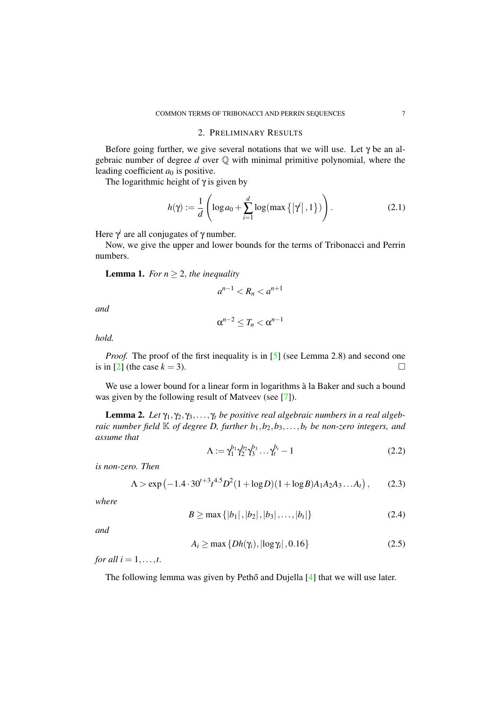# 2. PRELIMINARY RESULTS

Before going further, we give several notations that we will use. Let  $\gamma$  be an algebraic number of degree *d* over Q with minimal primitive polynomial, where the leading coefficient  $a_0$  is positive.

The logarithmic height of  $\gamma$  is given by

$$
h(\gamma) := \frac{1}{d} \left( \log a_0 + \sum_{i=1}^d \log(\max\left\{ |\gamma^i|, 1 \right\}) \right). \tag{2.1}
$$

Here  $\gamma^i$  are all conjugates of  $\gamma$  number.

Now, we give the upper and lower bounds for the terms of Tribonacci and Perrin numbers.

**Lemma 1.** *For*  $n \geq 2$ *, the inequality* 

$$
a^{n-1} < R_n < a^{n+1}
$$

*and*

$$
\alpha^{n-2}\leq T_n<\alpha^{n-1}
$$

*hold.*

*Proof.* The proof of the first inequality is in [\[5\]](#page-5-6) (see Lemma 2.8) and second one is in [\[2\]](#page-5-7) (the case  $k = 3$ ).

We use a lower bound for a linear form in logarithms à la Baker and such a bound was given by the following result of Matveev (see [\[7\]](#page-5-8)).

**Lemma 2.** Let  $\gamma_1, \gamma_2, \gamma_3, \ldots, \gamma_t$  be positive real algebraic numbers in a real algeb*raic number field*  $K$  *of degree D, further*  $b_1$ ,  $b_2$ ,  $b_3$ , ...,  $b_t$  *be non-zero integers, and assume that*

$$
\Lambda := \gamma_1^{b_1} \gamma_2^{b_2} \gamma_3^{b_3} \dots \gamma_t^{b_t} - 1 \tag{2.2}
$$

*is non-zero. Then*

<span id="page-2-0"></span>
$$
\Lambda > \exp\left(-1.4 \cdot 30^{t+3} t^{4.5} D^2 (1 + \log D)(1 + \log B) A_1 A_2 A_3 \dots A_t\right),\tag{2.3}
$$

*where*

$$
B \ge \max\{|b_1|, |b_2|, |b_3|, \dots, |b_t|\}\tag{2.4}
$$

*and*

$$
A_i \ge \max\left\{ Dh(\gamma_i), |\log \gamma_i|, 0.16 \right\} \tag{2.5}
$$

*for all*  $i = 1, \ldots, t$ .

The following lemma was given by Pethő and Dujella  $[4]$  $[4]$  that we will use later.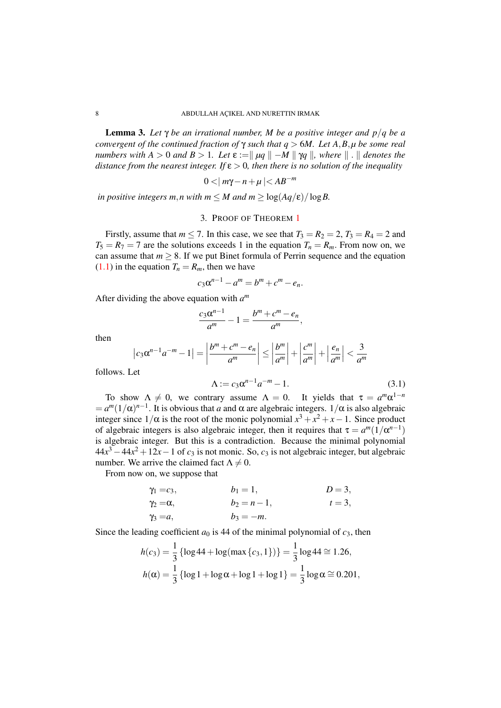<span id="page-3-0"></span>**Lemma 3.** Let  $\gamma$  be an irrational number, M be a positive integer and  $p/q$  be a *convergent of the continued fraction of*  $\gamma$  *such that q*  $> 6M$ *. Let A, B, µ be some real numbers with*  $A > 0$  *and*  $B > 1$ *. Let*  $\varepsilon := || \mu q || - M || \gamma q ||$ *, where*  $|| \cdot ||$  *denotes the distance from the nearest integer. If* ε > 0*, then there is no solution of the inequality*

$$
0<|m\gamma-n+\mu|
$$

*in positive integers m,n with m*  $\leq M$  *and m*  $\geq \log(Aq/\epsilon)/\log B$ .

## 3. PROOF OF THEOREM [1](#page-1-0)

Firstly, assume that  $m \le 7$ . In this case, we see that  $T_3 = R_2 = 2$ ,  $T_3 = R_4 = 2$  and  $T_5 = R_7 = 7$  are the solutions exceeds 1 in the equation  $T_n = R_m$ . From now on, we can assume that  $m \geq 8$ . If we put Binet formula of Perrin sequence and the equation  $(1.1)$  in the equation  $T_n = R_m$ , then we have

$$
c_3\alpha^{n-1} - a^m = b^m + c^m - e_n.
$$

After dividing the above equation with *a m*

$$
\frac{c_3\alpha^{n-1}}{a^m}-1=\frac{b^m+c^m-e_n}{a^m},
$$

then

$$
\left|c_3\alpha^{n-1}a^{-m}-1\right|=\left|\frac{b^m+c^m-e_n}{a^m}\right|\leq\left|\frac{b^m}{a^m}\right|+\left|\frac{c^m}{a^m}\right|+\left|\frac{e_n}{a^m}\right|<\frac{3}{a^m}
$$

follows. Let

$$
\Lambda := c_3 \alpha^{n-1} a^{-m} - 1.
$$
 (3.1)

To show  $\Lambda \neq 0$ , we contrary assume  $\Lambda = 0$ . It yields that  $\tau = a^m \alpha^{1-n}$  $= a^m (1/\alpha)^{n-1}$ . It is obvious that *a* and  $\alpha$  are algebraic integers.  $1/\alpha$  is also algebraic integer since  $1/\alpha$  is the root of the monic polynomial  $x^3 + x^2 + x - 1$ . Since product of algebraic integers is also algebraic integer, then it requires that  $\tau = a^m(1/\alpha^{n-1})$ is algebraic integer. But this is a contradiction. Because the minimal polynomial  $44x^3 - 44x^2 + 12x - 1$  of  $c_3$  is not monic. So,  $c_3$  is not algebraic integer, but algebraic number. We arrive the claimed fact  $\Lambda \neq 0$ .

From now on, we suppose that

$$
\gamma_1 = c_3,
$$
  $b_1 = 1,$   $D = 3,$   
\n $\gamma_2 = \alpha,$   $b_2 = n - 1,$   $t = 3,$   
\n $\gamma_3 = a,$   $b_3 = -m.$ 

Since the leading coefficient  $a_0$  is 44 of the minimal polynomial of  $c_3$ , then

$$
h(c_3) = \frac{1}{3} \left\{ \log 44 + \log(\max\{c_3, 1\}) \right\} = \frac{1}{3} \log 44 \approx 1.26,
$$
  

$$
h(\alpha) = \frac{1}{3} \left\{ \log 1 + \log \alpha + \log 1 + \log 1 \right\} = \frac{1}{3} \log \alpha \approx 0.201,
$$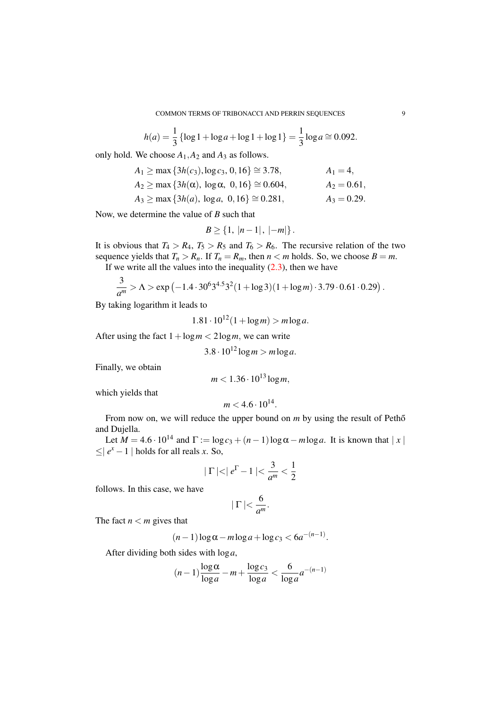$$
h(a) = \frac{1}{3} \{ \log 1 + \log a + \log 1 + \log 1 \} = \frac{1}{3} \log a \cong 0.092.
$$

only hold. We choose  $A_1$ ,  $A_2$  and  $A_3$  as follows.

$$
A_1 \ge \max \{3h(c_3), \log c_3, 0, 16\} \cong 3.78, \qquad A_1 = 4,
$$
  
\n
$$
A_2 \ge \max \{3h(\alpha), \log \alpha, 0, 16\} \cong 0.604, \qquad A_2 = 0.61,
$$
  
\n
$$
A_3 \ge \max \{3h(a), \log a, 0, 16\} \cong 0.281, \qquad A_3 = 0.29.
$$

Now, we determine the value of *B* such that

$$
B \ge \{1, |n-1|, |-m|\}.
$$

It is obvious that  $T_4 > R_4$ ,  $T_5 > R_5$  and  $T_6 > R_6$ . The recursive relation of the two sequence yields that  $T_n > R_n$ . If  $T_n = R_m$ , then  $n < m$  holds. So, we choose  $B = m$ .

If we write all the values into the inequality  $(2.3)$ , then we have

$$
\frac{3}{a^m} > \Lambda > \exp(-1.4 \cdot 30^6 3^{4.5} 3^2 (1 + \log 3)(1 + \log m) \cdot 3.79 \cdot 0.61 \cdot 0.29).
$$

By taking logarithm it leads to

$$
1.81 \cdot 10^{12} (1 + \log m) > m \log a.
$$

After using the fact  $1 + \log m < 2 \log m$ , we can write

$$
3.8 \cdot 10^{12} \log m > m \log a.
$$

Finally, we obtain

$$
m < 1.36 \cdot 10^{13} \log m
$$

which yields that

$$
m < 4.6 \cdot 10^{14}.
$$

From now on, we will reduce the upper bound on *m* by using the result of Petho<sup>n</sup> and Dujella.

Let  $M = 4.6 \cdot 10^{14}$  and  $\Gamma := \log c_3 + (n-1)\log \alpha - m \log a$ . It is known that | *x* |  $≤|e^x - 1|$  holds for all reals *x*. So,

$$
|\Gamma| < |e^{\Gamma} - 1| < \frac{3}{a^m} < \frac{1}{2}
$$

follows. In this case, we have

$$
|\Gamma| < \frac{6}{a^m}.
$$

The fact  $n < m$  gives that

$$
(n-1)\log\alpha - m\log a + \log c_3 < 6a^{-(n-1)}.
$$

After dividing both sides with log*a*,

$$
(n-1)\frac{\log \alpha}{\log a} - m + \frac{\log c_3}{\log a} < \frac{6}{\log a} a^{-(n-1)}
$$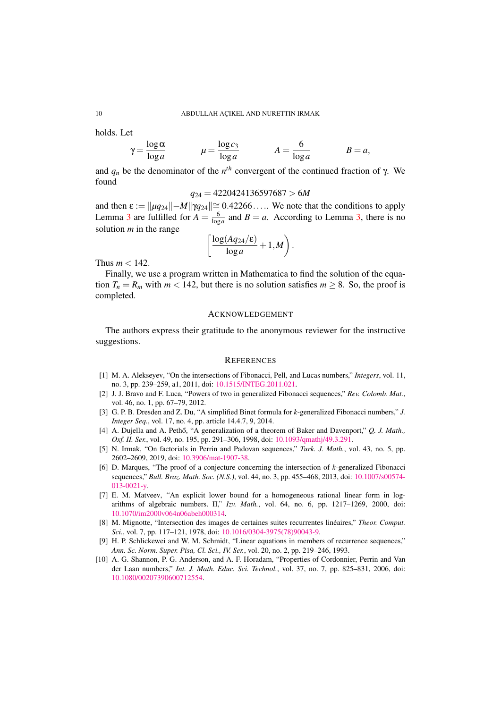#### 10 ABDULLAH AÇIKEL AND NURETTIN IRMAK

holds. Let

$$
\gamma = \frac{\log \alpha}{\log a}
$$
\n $\mu = \frac{\log c_3}{\log a}$ \n $A = \frac{6}{\log a}$ \n $B = a$ 

and  $q_n$  be the denominator of the  $n^{th}$  convergent of the continued fraction of  $\gamma$ . We found

$$
q_{24} = 4220424136597687 > 6M
$$

and then  $\varepsilon := ||\mu q_{24}|| - M||\gamma q_{24}|| \approx 0.42266...$  We note that the conditions to apply Lemma [3](#page-3-0) are fulfilled for  $A = \frac{6}{\log a}$  and  $B = a$ . According to Lemma [3,](#page-3-0) there is no solution *m* in the range

$$
\left[\frac{\log(Aq_{24}/\varepsilon)}{\log a}+1,M\right).
$$

Thus  $m < 142$ .

Finally, we use a program written in Mathematica to find the solution of the equation  $T_n = R_m$  with  $m < 142$ , but there is no solution satisfies  $m \geq 8$ . So, the proof is completed.

#### ACKNOWLEDGEMENT

The authors express their gratitude to the anonymous reviewer for the instructive suggestions.

#### **REFERENCES**

- <span id="page-5-2"></span>[1] M. A. Alekseyev, "On the intersections of Fibonacci, Pell, and Lucas numbers," *Integers*, vol. 11, no. 3, pp. 239–259, a1, 2011, doi: [10.1515/INTEG.2011.021.](http://dx.doi.org/10.1515/INTEG.2011.021)
- <span id="page-5-7"></span>[2] J. J. Bravo and F. Luca, "Powers of two in generalized Fibonacci sequences," *Rev. Colomb. Mat.*, vol. 46, no. 1, pp. 67–79, 2012.
- <span id="page-5-4"></span>[3] G. P. B. Dresden and Z. Du, "A simplified Binet formula for *k*-generalized Fibonacci numbers," *J. Integer Seq.*, vol. 17, no. 4, pp. article 14.4.7, 9, 2014.
- <span id="page-5-9"></span>[4] A. Dujella and A. Pethő, "A generalization of a theorem of Baker and Davenport," Q. J. Math., *Oxf. II. Ser.*, vol. 49, no. 195, pp. 291–306, 1998, doi: [10.1093/qmathj/49.3.291.](http://dx.doi.org/10.1093/qmathj/49.3.291)
- <span id="page-5-6"></span>[5] N. Irmak, "On factorials in Perrin and Padovan sequences," *Turk. J. Math.*, vol. 43, no. 5, pp. 2602–2609, 2019, doi: [10.3906/mat-1907-38.](http://dx.doi.org/10.3906/mat-1907-38)
- <span id="page-5-3"></span>[6] D. Marques, "The proof of a conjecture concerning the intersection of *k*-generalized Fibonacci sequences," *Bull. Braz. Math. Soc. (N.S.)*, vol. 44, no. 3, pp. 455–468, 2013, doi: [10.1007/s00574-](http://dx.doi.org/10.1007/s00574-013-0021-y) [013-0021-y.](http://dx.doi.org/10.1007/s00574-013-0021-y)
- <span id="page-5-8"></span>[7] E. M. Matveev, "An explicit lower bound for a homogeneous rational linear form in logarithms of algebraic numbers. II," *Izv. Math.*, vol. 64, no. 6, pp. 1217–1269, 2000, doi: [10.1070/im2000v064n06abeh000314.](http://dx.doi.org/10.1070/im2000v064n06abeh000314)
- <span id="page-5-0"></span>[8] M. Mignotte, "Intersection des images de certaines suites recurrentes linéaires," *Theor. Comput. Sci.*, vol. 7, pp. 117–121, 1978, doi: [10.1016/0304-3975\(78\)90043-9.](http://dx.doi.org/10.1016/0304-3975(78)90043-9)
- <span id="page-5-1"></span>[9] H. P. Schlickewei and W. M. Schmidt, "Linear equations in members of recurrence sequences," *Ann. Sc. Norm. Super. Pisa, Cl. Sci., IV. Ser.*, vol. 20, no. 2, pp. 219–246, 1993.
- <span id="page-5-5"></span>[10] A. G. Shannon, P. G. Anderson, and A. F. Horadam, "Properties of Cordonnier, Perrin and Van der Laan numbers," *Int. J. Math. Educ. Sci. Technol.*, vol. 37, no. 7, pp. 825–831, 2006, doi: [10.1080/00207390600712554.](http://dx.doi.org/10.1080/00207390600712554)